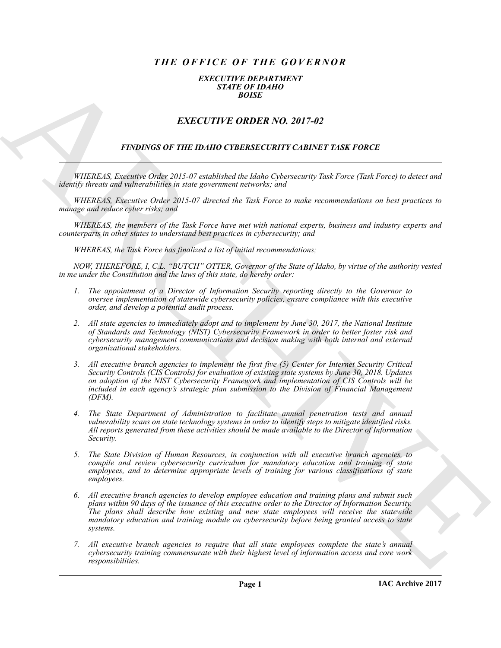# *THE OFFICE OF THE GOVERNOR*

#### *EXECUTIVE DEPARTMENT STATE OF IDAHO BOISE*

## *EXECUTIVE ORDER NO. 2017-02*

### *FINDINGS OF THE IDAHO CYBERSECURITY CABINET TASK FORCE*

*WHEREAS, Executive Order 2015-07 established the Idaho Cybersecurity Task Force (Task Force) to detect and identify threats and vulnerabilities in state government networks; and*

*WHEREAS, Executive Order 2015-07 directed the Task Force to make recommendations on best practices to manage and reduce cyber risks; and*

*WHEREAS, the members of the Task Force have met with national experts, business and industry experts and counterparts in other states to understand best practices in cybersecurity; and*

*WHEREAS, the Task Force has finalized a list of initial recommendations;*

*NOW, THEREFORE, I, C.L. "BUTCH" OTTER, Governor of the State of Idaho, by virtue of the authority vested in me under the Constitution and the laws of this state, do hereby order:*

- *1. The appointment of a Director of Information Security reporting directly to the Governor to oversee implementation of statewide cybersecurity policies, ensure compliance with this executive order, and develop a potential audit process.*
- *2. All state agencies to immediately adopt and to implement by June 30, 2017, the National Institute of Standards and Technology (NIST) Cybersecurity Framework in order to better foster risk and cybersecurity management communications and decision making with both internal and external organizational stakeholders.*
- *3. All executive branch agencies to implement the first five (5) Center for Internet Security Critical Security Controls (CIS Controls) for evaluation of existing state systems by June 30, 2018. Updates on adoption of the NIST Cybersecurity Framework and implementation of CIS Controls will be included in each agency's strategic plan submission to the Division of Financial Management (DFM).*
- *4. The State Department of Administration to facilitate annual penetration tests and annual vulnerability scans on state technology systems in order to identify steps to mitigate identified risks. All reports generated from these activities should be made available to the Director of Information Security.*
- *5. The State Division of Human Resources, in conjunction with all executive branch agencies, to compile and review cybersecurity curriculum for mandatory education and training of state employees, and to determine appropriate levels of training for various classifications of state employees.*
- **EXACT CUT FOR ORDER NO. 2017-02**<br> **EXACT CUT FOR ORDER NO. 2017-02**<br> **EXACT TITLE ORDER NO. 2017-02**<br> **EXACT CUT FOR ORDER NO. 2017-02**<br> **EXACT CUT FOR ORDER NO. 2017-02**<br> **EXACT CUT FOR ORDER NO. 2017-02**<br> **ARTIFIED to** *6. All executive branch agencies to develop employee education and training plans and submit such plans within 90 days of the issuance of this executive order to the Director of Information Security. The plans shall describe how existing and new state employees will receive the statewide mandatory education and training module on cybersecurity before being granted access to state systems.*
	- *7. All executive branch agencies to require that all state employees complete the state's annual cybersecurity training commensurate with their highest level of information access and core work responsibilities.*